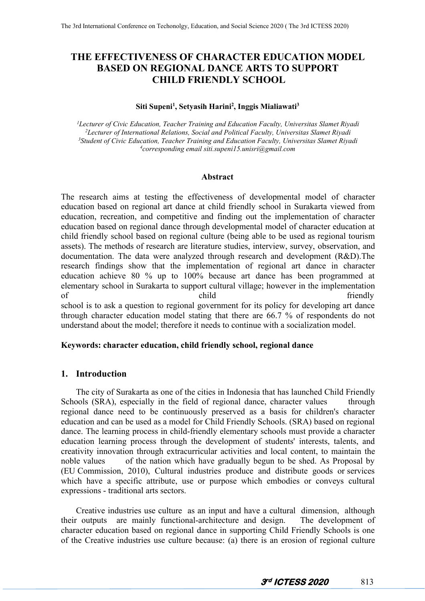# **THE EFFECTIVENESS OF CHARACTER EDUCATION MODEL BASED ON REGIONAL DANCE ARTS TO SUPPORT CHILD FRIENDLY SCHOOL**

### **Siti Supeni<sup>1</sup> , Setyasih Harini<sup>2</sup> , Inggis Mialiawati<sup>3</sup>**

*Lecturer of Civic Education, Teacher Training and Education Faculty, Universitas Slamet Riyadi Lecturer of International Relations, Social and Political Faculty, Universitas Slamet Riyadi Student of Civic Education, Teacher Training and Education Faculty, Universitas Slamet Riyadi corresponding email siti.supeni15.unisri@gmail.com*

#### **Abstract**

The research aims at testing the effectiveness of developmental model of character education based on regional art dance at child friendly school in Surakarta viewed from education, recreation, and competitive and finding out the implementation of character education based on regional dance through developmental model of character education at child friendly school based on regional culture (being able to be used as regional tourism assets). The methods of research are literature studies, interview, survey, observation, and documentation. The data were analyzed through research and development (R&D).The research findings show that the implementation of regional art dance in character education achieve 80 % up to 100% because art dance has been programmed at elementary school in Surakarta to support cultural village; however in the implementation of child child friendly school is to ask a question to regional government for its policy for developing art dance through character education model stating that there are 66.7 % of respondents do not understand about the model; therefore it needs to continue with a socialization model.

#### **Keywords: character education, child friendly school, regional dance**

## **1. Introduction**

The city of Surakarta as one of the cities in Indonesia that has launched Child Friendly Schools (SRA), especially in the field of regional dance, character values through regional dance need to be continuously preserved as a basis for children's character education and can be used as a model for Child Friendly Schools. (SRA) based on regional dance. The learning process in child-friendly elementary schools must provide a character education learning process through the development of students' interests, talents, and creativity innovation through extracurricular activities and local content, to maintain the noble values of the nation which have gradually begun to be shed. As Proposal by (EU Commission, 2010), Cultural industries produce and distribute goods or services which have a specific attribute, use or purpose which embodies or conveys cultural expressions - traditional arts sectors.

Creative industries use culture as an input and have a cultural dimension, although their outputs are mainly functional-architecture and design. The development of character education based on regional dance in supporting Child Friendly Schools is one of the Creative industries use culture because: (a) there is an erosion of regional culture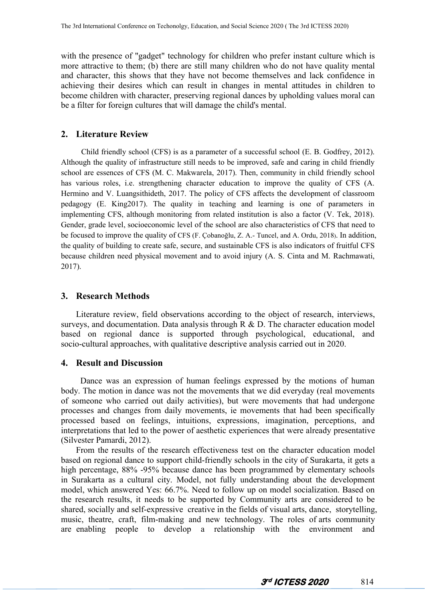with the presence of "gadget" technology for children who prefer instant culture which is more attractive to them; (b) there are still many children who do not have quality mental and character, this shows that they have not become themselves and lack confidence in achieving their desires which can result in changes in mental attitudes in children to become children with character, preserving regional dances by upholding values moral can be a filter for foreign cultures that will damage the child's mental.

### **2. Literature Review**

Child friendly school (CFS) is as a parameter of a successful school (E. B. Godfrey, 2012). Although the quality of infrastructure still needs to be improved, safe and caring in child friendly school are essences of CFS (M. C. Makwarela, 2017). Then, community in child friendly school has various roles, i.e. strengthening character education to improve the quality of CFS (A. Hermino and V. Luangsithideth, 2017. The policy of CFS affects the development of classroom pedagogy (E. King2017). The quality in teaching and learning is one of parameters in implementing CFS, although monitoring from related institution is also a factor (V. Tek, 2018). Gender, grade level, socioeconomic level of the school are also characteristics of CFS that need to be focused to improve the quality of CFS (F. Çobanoğlu, Z. A.- Tuncel, and A. Ordu, 2018). In addition, the quality of building to create safe, secure, and sustainable CFS is also indicators of fruitful CFS because children need physical movement and to avoid injury (A. S. Cinta and M. Rachmawati, 2017).

### **3. Research Methods**

Literature review, field observations according to the object of research, interviews, surveys, and documentation. Data analysis through  $R \& D$ . The character education model based on regional dance is supported through psychological, educational, and socio-cultural approaches, with qualitative descriptive analysis carried out in 2020.

### **4. Result and Discussion**

Dance was an expression of human feelings expressed by the motions of human body. The motion in dance was not the movements that we did everyday (real movements of someone who carried out daily activities), but were movements that had undergone processes and changes from daily movements, ie movements that had been specifically processed based on feelings, intuitions, expressions, imagination, perceptions, and interpretations that led to the power of aesthetic experiences that were already presentative (Silvester Pamardi, 2012).

From the results of the research effectiveness test on the character education model based on regional dance to support child-friendly schools in the city of Surakarta, it gets a high percentage, 88% -95% because dance has been programmed by elementary schools in Surakarta as a cultural city. Model, not fully understanding about the development model, which answered Yes: 66.7%. Need to follow up on model socialization. Based on the research results, it needs to be supported by Community arts are considered to be shared, socially and self-expressive creative in the fields of visual arts, dance, storytelling, music, theatre, craft, film-making and new technology. The roles of arts community are enabling people to develop a relationship with the environment and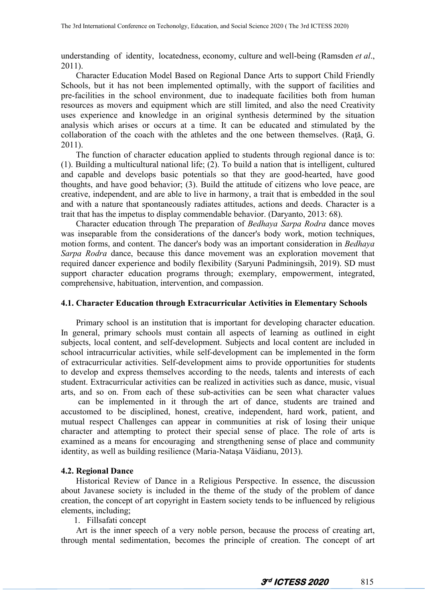understanding of identity, locatedness, economy, culture and well-being (Ramsden *et al*., 2011).

Character Education Model Based on Regional Dance Arts to support Child Friendly Schools, but it has not been implemented optimally, with the support of facilities and pre-facilities in the school environment, due to inadequate facilities both from human resources as movers and equipment which are still limited, and also the need Creativity uses experience and knowledge in an original synthesis determined by the situation analysis which arises or occurs at a time. It can be educated and stimulated by the collaboration of the coach with the athletes and the one between themselves. (Raţă, G. 2011).

The function of character education applied to students through regional dance is to: (1). Building a multicultural national life;  $(2)$ . To build a nation that is intelligent, cultured and capable and develops basic potentials so that they are good-hearted, have good thoughts, and have good behavior; (3). Build the attitude of citizens who love peace, are creative, independent, and are able to live in harmony, a trait that is embedded in the soul and with a nature that spontaneously radiates attitudes, actions and deeds. Character is a trait that has the impetus to display commendable behavior. (Daryanto, 2013: 68).

Character education through The preparation of *Bedhaya Sarpa Rodra* dance moves was inseparable from the considerations of the dancer's body work, motion techniques, motion forms, and content. The dancer's body was an important consideration in *Bedhaya Sarpa Rodra* dance, because this dance movement was an exploration movement that required dancer experience and bodily flexibility (Saryuni Padminingsih, 2019). SD must support character education programs through; exemplary, empowerment, integrated, comprehensive, habituation, intervention, and compassion.

#### **4.1. Character Education through Extracurricular Activities in Elementary Schools**

Primary school is an institution that is important for developing character education. In general, primary schools must contain all aspects of learning as outlined in eight subjects, local content, and self-development. Subjects and local content are included in school intracurricular activities, while self-development can be implemented in the form of extracurricular activities. Self-development aims to provide opportunities for students to develop and express themselves according to the needs, talents and interests of each student. Extracurricular activities can be realized in activities such as dance, music, visual arts, and so on. From each of these sub-activities can be seen what character values

can be implemented in it through the art of dance, students are trained and accustomed to be disciplined, honest, creative, independent, hard work, patient, and mutual respect Challenges can appear in communities at risk of losing their unique character and attempting to protect their special sense of place. The role of arts is examined as a means for encouraging and strengthening sense of place and community identity, as well as building resilience (Maria-Nataşa Văidianu, 2013).

#### **4.2. Regional Dance**

Historical Review of Dance in a Religious Perspective. In essence, the discussion about Javanese society is included in the theme of the study of the problem of dance creation, the concept of art copyright in Eastern society tends to be influenced by religious elements, including;

1. Fillsafati concept

Art is the inner speech of a very noble person, because the process of creating art, through mental sedimentation, becomes the principle of creation. The concept of art

**3 rd ICTESS 2020** 815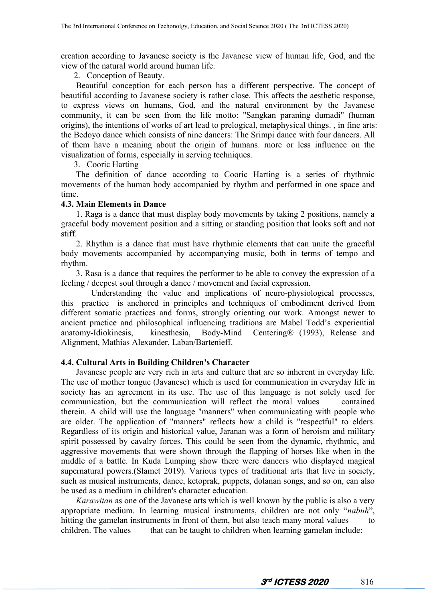creation according to Javanese society is the Javanese view of humanlife, God, and the view of the natural world around human life.2. Conception of Beauty.

Beautiful conception for each person has a different perspective. The concept of beautiful according to Javanese society is rather close. This affects the aesthetic response, to express views on humans, God, and the natural environment by the Javanese community, it can be seen from the life motto:"Sangkan paraning dumadi" (human origins), the intentions of works of art lead to prelogical, metaphysical things., in fine arts: the Bedoyo dance which consists of nine dancers: The Srimpi dance with four dancers. All of them have a meaning about the origin of humans. more or less influence on the visualization of forms, especially in serving techniques.3. Cooric Harting

The definition of dance according to Cooric Harting is a series of rhythmic movements of the human body accompanied by rhythm and performed in one space and time.

#### **4.3. Main Elements in Dance**

1. Raga is a dance that must display body movements by taking 2 positions, namely a graceful body movement position and a sitting or standing position that looks soft and not stiff.<br>2. Rhythm is a dance that must have rhythmic elements that can unite the graceful

body movements accompanied by accompanying music, both in terms of tempo and rhythm.

3. Rasa is a dance that requires the performer to be able to convey the expression of a feeling / deepest soul through a dance / movement and facial expression.

Understanding the value and implications of neuro-physiological processes, this practice is anchored in principles and techniques of embodiment derived from different somatic practices and forms, strongly orienting our work. Amongst newer to ancient practice and philosophical influencing traditions are Mabel Todd's experiential anatomy-Idiokinesis, kinesthesia, Body-Mind Centering® (1993), Release and Alignment, Mathias Alexander, Laban/Bartenieff.

## **4.4. Cultural Arts in Building Children's Character**

Javanese people are very rich in arts and culture that are so inherent in everyday life. The use of mother tongue (Javanese) which is used for communication in everyday life in society has an agreement in its use. The use of this language is not solely used for communication, but the communication will reflect the moral values contained communication, but the communication will reflect the moral values therein. A child will use the language "manners" when communicating with people who are older. The application of "manners" reflects how a child is "respectful" to elders. Regardless of its origin and historical value, Jaranan was a form of heroism and military spirit possessed by cavalry forces. This could be seen from the dynamic, rhythmic, and aggressive movements that were shown through the flapping of horses like when in the middle of a battle. In Kuda Lumping show there were dancers who displayed magical supernatural powers.(Slamet 2019). Various types of traditional arts that live in society, such as musical instruments, dance, ketoprak, puppets, dolanan songs, and so on, can also be used as a medium in children's character education.

*Karawitan* as one of the Javanese arts which is well known by the public is also a very appropriate medium. In learning musical instruments, children are not only "*nabuh*", hitting the gamelan instruments in front of them, but also teach many moral values to children. The values that can be taught to children when learning gamelan include: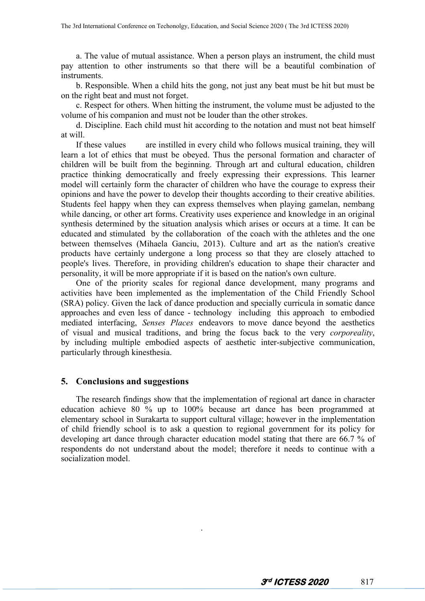a. The value of mutual assistance. When a person plays an instrument, the child must pay attention to other instruments so that there will be a beautiful combination of instruments.

b. Responsible. When a child hits the gong, not just any beat must be hit but must be on the right beat and must not forget.

c. Respect for others. When hitting the instrument, the volume must be adjusted to the volume of his companion and must not be louder than the other strokes.

d. Discipline. Each child must hit according to the notation and must not beat himself at will.

If these values are instilled in every child who follows musical training, they will learn a lot of ethics that must be obeyed. Thus the personal formation and character of children will be built from the beginning. Through art and cultural education, children practice thinking democratically and freely expressing their expressions. This learner model will certainly form the character of children who have the courage to express their opinions and have the power to develop their thoughts according to their creative abilities. Students feel happy when they can express themselves when playing gamelan, nembang while dancing, or other art forms. Creativity uses experience and knowledge in an original synthesis determined by the situation analysis which arises or occurs at a time. It can be educated and stimulated by the collaboration of the coach with the athletes and the one between themselves (Mihaela Ganciu,2013). Culture and art as the nation's creative products have certainly undergone a long process so that they are closely attached to people's lives. Therefore, in providing children's education to shape their character and personality, it will be more appropriate if it is based on the nation's own culture.

One of the priority scales for regional dance development, many programs and activities have been implemented as the implementation of the Child Friendly School (SRA) policy. Given the lack of dance production and specially curricula in somatic dance approaches and even less of dance - technology including this approach to embodied mediated interfacing, *Senses Places* endeavors to move dance beyond the aesthetics of visual and musical traditions, and bring the focus back to the very *corporeality*, by including multiple embodied aspects of aesthetic inter-subjective communication, particularly through kinesthesia.

## **5. Conclusions and suggestions**

The research findings show that the implementation of regional art dance in character education achieve 80 % up to 100% because art dance has been programmed at elementary school in Surakarta to support cultural village; however in the implementation of child friendly school is to ask a question to regional government for its policy for developing art dance through character education model stating that there are 66.7 % of respondents do not understand about the model; therefore it needs to continue with a socialization model.

.